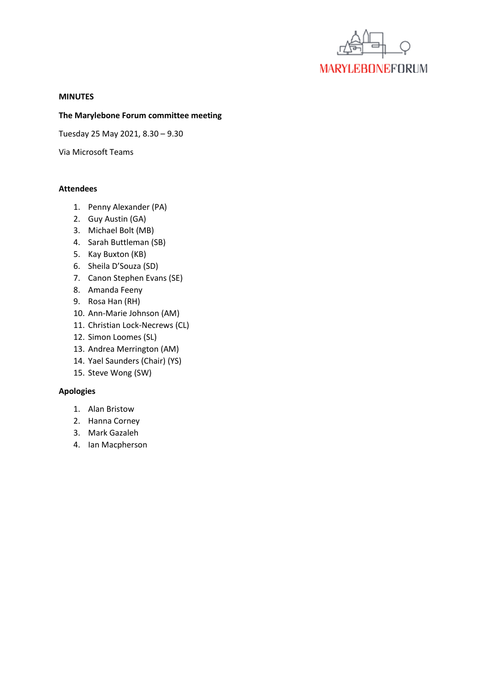

#### **MINUTES**

### **The Marylebone Forum committee meeting**

Tuesday 25 May 2021, 8.30 – 9.30

Via Microsoft Teams

### **Attendees**

- 1. Penny Alexander (PA)
- 2. Guy Austin (GA)
- 3. Michael Bolt (MB)
- 4. Sarah Buttleman (SB)
- 5. Kay Buxton (KB)
- 6. Sheila D'Souza (SD)
- 7. Canon Stephen Evans (SE)
- 8. Amanda Feeny
- 9. Rosa Han (RH)
- 10. Ann-Marie Johnson (AM)
- 11. Christian Lock-Necrews (CL)
- 12. Simon Loomes (SL)
- 13. Andrea Merrington (AM)
- 14. Yael Saunders (Chair) (YS)
- 15. Steve Wong (SW)

# **Apologies**

- 1. Alan Bristow
- 2. Hanna Corney
- 3. Mark Gazaleh
- 4. Ian Macpherson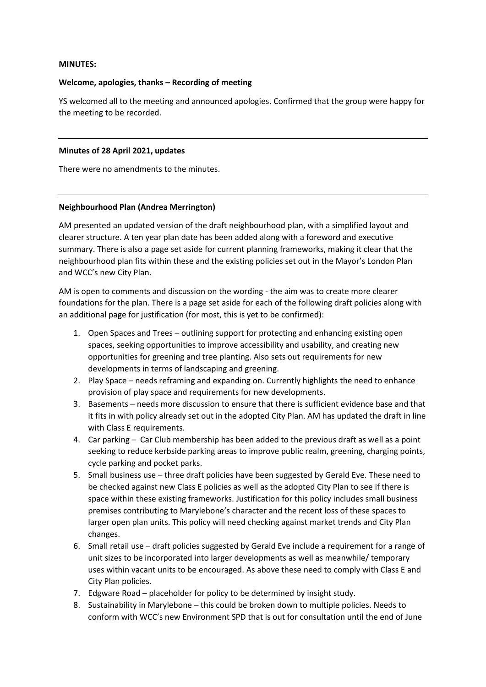### **MINUTES:**

### **Welcome, apologies, thanks – Recording of meeting**

YS welcomed all to the meeting and announced apologies. Confirmed that the group were happy for the meeting to be recorded.

#### **Minutes of 28 April 2021, updates**

There were no amendments to the minutes.

### **Neighbourhood Plan (Andrea Merrington)**

AM presented an updated version of the draft neighbourhood plan, with a simplified layout and clearer structure. A ten year plan date has been added along with a foreword and executive summary. There is also a page set aside for current planning frameworks, making it clear that the neighbourhood plan fits within these and the existing policies set out in the Mayor's London Plan and WCC's new City Plan.

AM is open to comments and discussion on the wording - the aim was to create more clearer foundations for the plan. There is a page set aside for each of the following draft policies along with an additional page for justification (for most, this is yet to be confirmed):

- 1. Open Spaces and Trees outlining support for protecting and enhancing existing open spaces, seeking opportunities to improve accessibility and usability, and creating new opportunities for greening and tree planting. Also sets out requirements for new developments in terms of landscaping and greening.
- 2. Play Space needs reframing and expanding on. Currently highlights the need to enhance provision of play space and requirements for new developments.
- 3. Basements needs more discussion to ensure that there is sufficient evidence base and that it fits in with policy already set out in the adopted City Plan. AM has updated the draft in line with Class E requirements.
- 4. Car parking Car Club membership has been added to the previous draft as well as a point seeking to reduce kerbside parking areas to improve public realm, greening, charging points, cycle parking and pocket parks.
- 5. Small business use three draft policies have been suggested by Gerald Eve. These need to be checked against new Class E policies as well as the adopted City Plan to see if there is space within these existing frameworks. Justification for this policy includes small business premises contributing to Marylebone's character and the recent loss of these spaces to larger open plan units. This policy will need checking against market trends and City Plan changes.
- 6. Small retail use draft policies suggested by Gerald Eve include a requirement for a range of unit sizes to be incorporated into larger developments as well as meanwhile/ temporary uses within vacant units to be encouraged. As above these need to comply with Class E and City Plan policies.
- 7. Edgware Road placeholder for policy to be determined by insight study.
- 8. Sustainability in Marylebone this could be broken down to multiple policies. Needs to conform with WCC's new Environment SPD that is out for consultation until the end of June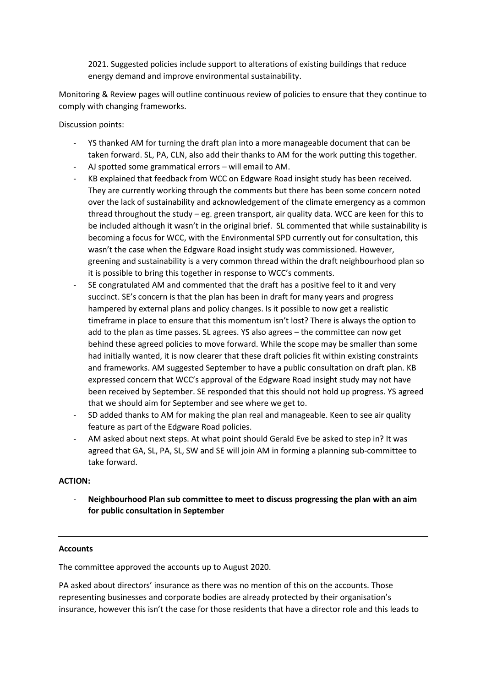2021. Suggested policies include support to alterations of existing buildings that reduce energy demand and improve environmental sustainability.

Monitoring & Review pages will outline continuous review of policies to ensure that they continue to comply with changing frameworks.

Discussion points:

- YS thanked AM for turning the draft plan into a more manageable document that can be taken forward. SL, PA, CLN, also add their thanks to AM for the work putting this together.
- AJ spotted some grammatical errors will email to AM.
- KB explained that feedback from WCC on Edgware Road insight study has been received. They are currently working through the comments but there has been some concern noted over the lack of sustainability and acknowledgement of the climate emergency as a common thread throughout the study – eg. green transport, air quality data. WCC are keen for this to be included although it wasn't in the original brief. SL commented that while sustainability is becoming a focus for WCC, with the Environmental SPD currently out for consultation, this wasn't the case when the Edgware Road insight study was commissioned. However, greening and sustainability is a very common thread within the draft neighbourhood plan so it is possible to bring this together in response to WCC's comments.
- SE congratulated AM and commented that the draft has a positive feel to it and very succinct. SE's concern is that the plan has been in draft for many years and progress hampered by external plans and policy changes. Is it possible to now get a realistic timeframe in place to ensure that this momentum isn't lost? There is always the option to add to the plan as time passes. SL agrees. YS also agrees – the committee can now get behind these agreed policies to move forward. While the scope may be smaller than some had initially wanted, it is now clearer that these draft policies fit within existing constraints and frameworks. AM suggested September to have a public consultation on draft plan. KB expressed concern that WCC's approval of the Edgware Road insight study may not have been received by September. SE responded that this should not hold up progress. YS agreed that we should aim for September and see where we get to.
- SD added thanks to AM for making the plan real and manageable. Keen to see air quality feature as part of the Edgware Road policies.
- AM asked about next steps. At what point should Gerald Eve be asked to step in? It was agreed that GA, SL, PA, SL, SW and SE will join AM in forming a planning sub-committee to take forward.

# **ACTION:**

- **Neighbourhood Plan sub committee to meet to discuss progressing the plan with an aim for public consultation in September**

# **Accounts**

The committee approved the accounts up to August 2020.

PA asked about directors' insurance as there was no mention of this on the accounts. Those representing businesses and corporate bodies are already protected by their organisation's insurance, however this isn't the case for those residents that have a director role and this leads to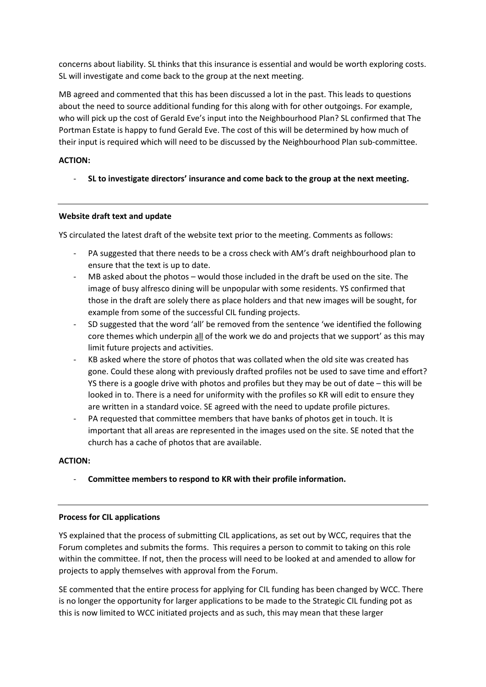concerns about liability. SL thinks that this insurance is essential and would be worth exploring costs. SL will investigate and come back to the group at the next meeting.

MB agreed and commented that this has been discussed a lot in the past. This leads to questions about the need to source additional funding for this along with for other outgoings. For example, who will pick up the cost of Gerald Eve's input into the Neighbourhood Plan? SL confirmed that The Portman Estate is happy to fund Gerald Eve. The cost of this will be determined by how much of their input is required which will need to be discussed by the Neighbourhood Plan sub-committee.

# **ACTION:**

- **SL to investigate directors' insurance and come back to the group at the next meeting.**

# **Website draft text and update**

YS circulated the latest draft of the website text prior to the meeting. Comments as follows:

- PA suggested that there needs to be a cross check with AM's draft neighbourhood plan to ensure that the text is up to date.
- MB asked about the photos would those included in the draft be used on the site. The image of busy alfresco dining will be unpopular with some residents. YS confirmed that those in the draft are solely there as place holders and that new images will be sought, for example from some of the successful CIL funding projects.
- SD suggested that the word 'all' be removed from the sentence 'we identified the following core themes which underpin all of the work we do and projects that we support' as this may limit future projects and activities.
- KB asked where the store of photos that was collated when the old site was created has gone. Could these along with previously drafted profiles not be used to save time and effort? YS there is a google drive with photos and profiles but they may be out of date – this will be looked in to. There is a need for uniformity with the profiles so KR will edit to ensure they are written in a standard voice. SE agreed with the need to update profile pictures.
- PA requested that committee members that have banks of photos get in touch. It is important that all areas are represented in the images used on the site. SE noted that the church has a cache of photos that are available.

## **ACTION:**

- **Committee members to respond to KR with their profile information.**

### **Process for CIL applications**

YS explained that the process of submitting CIL applications, as set out by WCC, requires that the Forum completes and submits the forms. This requires a person to commit to taking on this role within the committee. If not, then the process will need to be looked at and amended to allow for projects to apply themselves with approval from the Forum.

SE commented that the entire process for applying for CIL funding has been changed by WCC. There is no longer the opportunity for larger applications to be made to the Strategic CIL funding pot as this is now limited to WCC initiated projects and as such, this may mean that these larger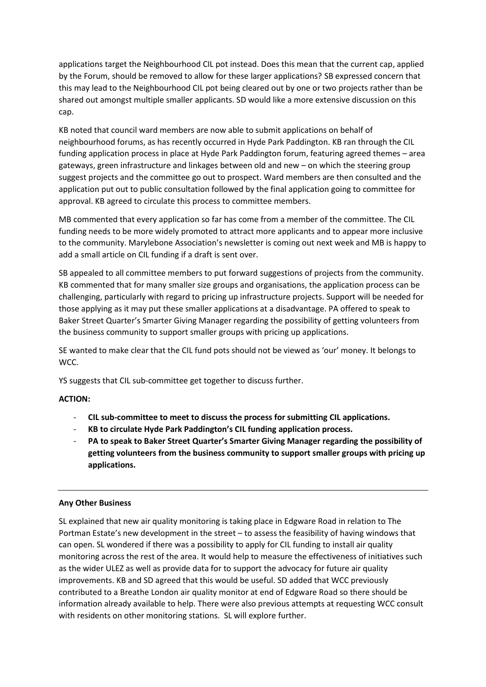applications target the Neighbourhood CIL pot instead. Does this mean that the current cap, applied by the Forum, should be removed to allow for these larger applications? SB expressed concern that this may lead to the Neighbourhood CIL pot being cleared out by one or two projects rather than be shared out amongst multiple smaller applicants. SD would like a more extensive discussion on this cap.

KB noted that council ward members are now able to submit applications on behalf of neighbourhood forums, as has recently occurred in Hyde Park Paddington. KB ran through the CIL funding application process in place at Hyde Park Paddington forum, featuring agreed themes – area gateways, green infrastructure and linkages between old and new – on which the steering group suggest projects and the committee go out to prospect. Ward members are then consulted and the application put out to public consultation followed by the final application going to committee for approval. KB agreed to circulate this process to committee members.

MB commented that every application so far has come from a member of the committee. The CIL funding needs to be more widely promoted to attract more applicants and to appear more inclusive to the community. Marylebone Association's newsletter is coming out next week and MB is happy to add a small article on CIL funding if a draft is sent over.

SB appealed to all committee members to put forward suggestions of projects from the community. KB commented that for many smaller size groups and organisations, the application process can be challenging, particularly with regard to pricing up infrastructure projects. Support will be needed for those applying as it may put these smaller applications at a disadvantage. PA offered to speak to Baker Street Quarter's Smarter Giving Manager regarding the possibility of getting volunteers from the business community to support smaller groups with pricing up applications.

SE wanted to make clear that the CIL fund pots should not be viewed as 'our' money. It belongs to WCC.

YS suggests that CIL sub-committee get together to discuss further.

### **ACTION:**

- **CIL sub-committee to meet to discuss the process for submitting CIL applications.**
- **KB to circulate Hyde Park Paddington's CIL funding application process.**
- **PA to speak to Baker Street Quarter's Smarter Giving Manager regarding the possibility of getting volunteers from the business community to support smaller groups with pricing up applications.**

#### **Any Other Business**

SL explained that new air quality monitoring is taking place in Edgware Road in relation to The Portman Estate's new development in the street – to assess the feasibility of having windows that can open. SL wondered if there was a possibility to apply for CIL funding to install air quality monitoring across the rest of the area. It would help to measure the effectiveness of initiatives such as the wider ULEZ as well as provide data for to support the advocacy for future air quality improvements. KB and SD agreed that this would be useful. SD added that WCC previously contributed to a Breathe London air quality monitor at end of Edgware Road so there should be information already available to help. There were also previous attempts at requesting WCC consult with residents on other monitoring stations. SL will explore further.